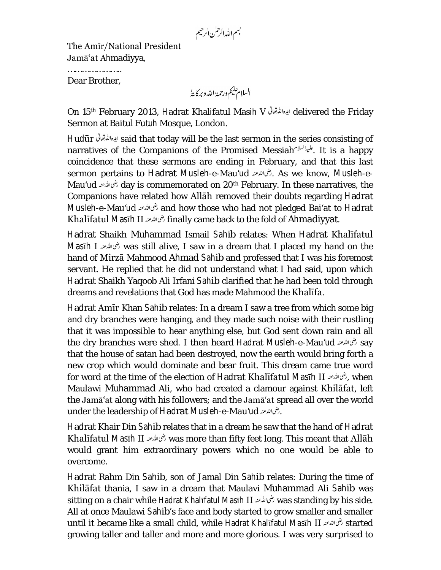بسم الله الرحمٰن الرحيم

The Amīr/National President Jamā'at Ahmadiyya,

………………………… Dear Brother,

On 15<sup>th</sup> February 2013, Hadrat Khalifatul Masih V ايده الله تعالى العدد المقابل delivered the Friday Sermon at Baitul Futuh Mosque, London.

Hudūr said that today will be the last sermon in the series consisting of narratives of the Companions of the Promised Messiah . بليه السلام . It is a happy coincidence that these sermons are ending in February, and that this last sermon pertains to Hadrat Musleh-e-Mau'ud . As we know, Musleh-e-Mau'ud day is commemorated on 20th February. In these narratives, the Companions have related how Allāh removed their doubts regarding Hadrat Musleh-e-Mau'ud فنما الله عنه and how those who had not pledged Bai'at to Hadrat Khalīfatul Masīh II بنى الله عنه 11 finally came back to the fold of Ahmadiyyat.

Hadrat Shaikh Muhammad Ismail Sahib relates: When Hadrat Khalīfatul Masīh I was still alive, I saw in a dream that I placed my hand on the hand of Mirzā Mahmood Ahmad Sahib and professed that I was his foremost servant. He replied that he did not understand what I had said, upon which Hadrat Shaikh Yaqoob Ali Irfani Sahib clarified that he had been told through dreams and revelations that God has made Mahmood the Khalīfa.

Hadrat Amīr Khan Sahib relates: In a dream I saw a tree from which some big and dry branches were hanging, and they made such noise with their rustling that it was impossible to hear anything else, but God sent down rain and all the dry branches were shed. I then heard Hadrat Musleh-e-Mau'ud تغمالله عنه say that the house of satan had been destroyed, now the earth would bring forth a new crop which would dominate and bear fruit. This dream came true word for word at the time of the election of Hadrat Khalīfatul Masīh II , when Maulawi Muhammad Ali, who had created a clamour against Khilāfat, left the Jamā'at along with his followers; and the Jamā'at spread all over the world under the leadership of Hadrat Musleh-e-Mau'ud .

Hadrat Khair Din Sahib relates that in a dream he saw that the hand of Hadrat Khalīfatul Masīh II خَمَالله عنه الأعلام was more than fifty feet long. This meant that Allāh would grant him extraordinary powers which no one would be able to overcome.

Hadrat Rahm Din Sahib, son of Jamal Din Sahib relates: During the time of Khilāfat thania, I saw in a dream that Maulavi Muhammad Ali Sahib was sitting on a chair while Hadrat Khalīfatul Masīh II رض الله عنه was standing by his side. All at once Maulawi Sahib's face and body started to grow smaller and smaller until it became like a small child, while Hadrat Khalīfatul Masīh II المخالف عند started growing taller and taller and more and more glorious. I was very surprised to